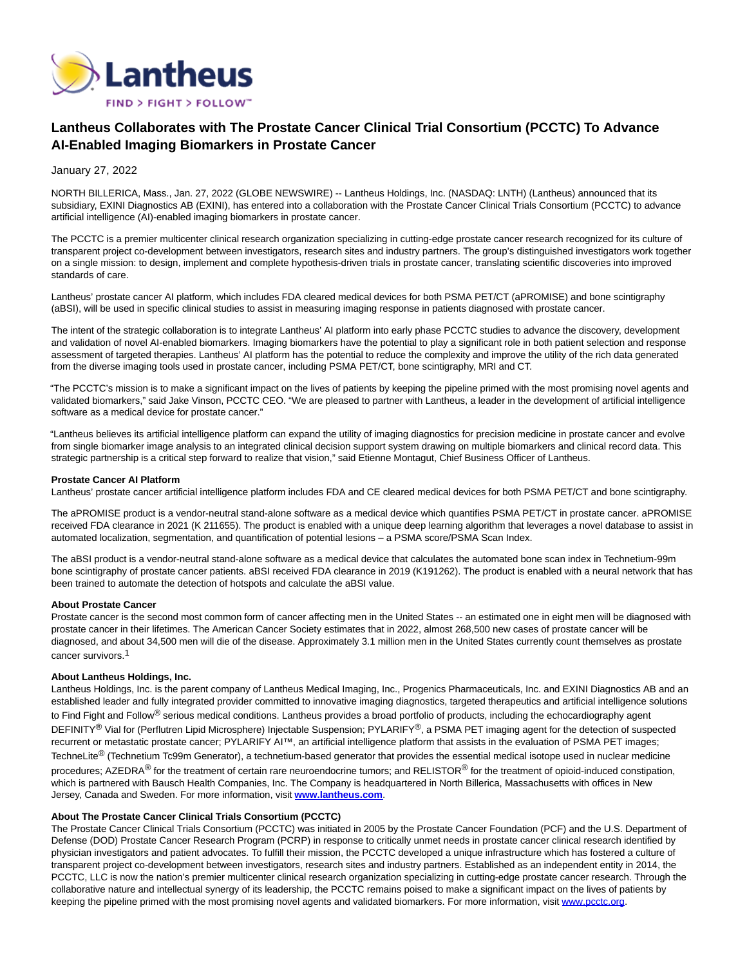

# **Lantheus Collaborates with The Prostate Cancer Clinical Trial Consortium (PCCTC) To Advance AI-Enabled Imaging Biomarkers in Prostate Cancer**

# January 27, 2022

NORTH BILLERICA, Mass., Jan. 27, 2022 (GLOBE NEWSWIRE) -- Lantheus Holdings, Inc. (NASDAQ: LNTH) (Lantheus) announced that its subsidiary, EXINI Diagnostics AB (EXINI), has entered into a collaboration with the Prostate Cancer Clinical Trials Consortium (PCCTC) to advance artificial intelligence (AI)-enabled imaging biomarkers in prostate cancer.

The PCCTC is a premier multicenter clinical research organization specializing in cutting-edge prostate cancer research recognized for its culture of transparent project co-development between investigators, research sites and industry partners. The group's distinguished investigators work together on a single mission: to design, implement and complete hypothesis-driven trials in prostate cancer, translating scientific discoveries into improved standards of care.

Lantheus' prostate cancer AI platform, which includes FDA cleared medical devices for both PSMA PET/CT (aPROMISE) and bone scintigraphy (aBSI), will be used in specific clinical studies to assist in measuring imaging response in patients diagnosed with prostate cancer.

The intent of the strategic collaboration is to integrate Lantheus' AI platform into early phase PCCTC studies to advance the discovery, development and validation of novel AI-enabled biomarkers. Imaging biomarkers have the potential to play a significant role in both patient selection and response assessment of targeted therapies. Lantheus' AI platform has the potential to reduce the complexity and improve the utility of the rich data generated from the diverse imaging tools used in prostate cancer, including PSMA PET/CT, bone scintigraphy, MRI and CT.

"The PCCTC's mission is to make a significant impact on the lives of patients by keeping the pipeline primed with the most promising novel agents and validated biomarkers," said Jake Vinson, PCCTC CEO. "We are pleased to partner with Lantheus, a leader in the development of artificial intelligence software as a medical device for prostate cancer."

"Lantheus believes its artificial intelligence platform can expand the utility of imaging diagnostics for precision medicine in prostate cancer and evolve from single biomarker image analysis to an integrated clinical decision support system drawing on multiple biomarkers and clinical record data. This strategic partnership is a critical step forward to realize that vision," said Etienne Montagut, Chief Business Officer of Lantheus.

## **Prostate Cancer AI Platform**

Lantheus' prostate cancer artificial intelligence platform includes FDA and CE cleared medical devices for both PSMA PET/CT and bone scintigraphy.

The aPROMISE product is a vendor-neutral stand-alone software as a medical device which quantifies PSMA PET/CT in prostate cancer. aPROMISE received FDA clearance in 2021 (K 211655). The product is enabled with a unique deep learning algorithm that leverages a novel database to assist in automated localization, segmentation, and quantification of potential lesions – a PSMA score/PSMA Scan Index.

The aBSI product is a vendor-neutral stand-alone software as a medical device that calculates the automated bone scan index in Technetium-99m bone scintigraphy of prostate cancer patients. aBSI received FDA clearance in 2019 (K191262). The product is enabled with a neural network that has been trained to automate the detection of hotspots and calculate the aBSI value.

#### **About Prostate Cancer**

Prostate cancer is the second most common form of cancer affecting men in the United States -- an estimated one in eight men will be diagnosed with prostate cancer in their lifetimes. The American Cancer Society estimates that in 2022, almost 268,500 new cases of prostate cancer will be diagnosed, and about 34,500 men will die of the disease. Approximately 3.1 million men in the United States currently count themselves as prostate cancer survivors.1

## **About Lantheus Holdings, Inc.**

Lantheus Holdings, Inc. is the parent company of Lantheus Medical Imaging, Inc., Progenics Pharmaceuticals, Inc. and EXINI Diagnostics AB and an established leader and fully integrated provider committed to innovative imaging diagnostics, targeted therapeutics and artificial intelligence solutions to Find Fight and Follow<sup>®</sup> serious medical conditions. Lantheus provides a broad portfolio of products, including the echocardiography agent DEFINITY® Vial for (Perflutren Lipid Microsphere) Injectable Suspension; PYLARIFY®, a PSMA PET imaging agent for the detection of suspected recurrent or metastatic prostate cancer; PYLARIFY AI™, an artificial intelligence platform that assists in the evaluation of PSMA PET images; TechneLite<sup>®</sup> (Technetium Tc99m Generator), a technetium-based generator that provides the essential medical isotope used in nuclear medicine procedures; AZEDRA<sup>®</sup> for the treatment of certain rare neuroendocrine tumors; and RELISTOR<sup>®</sup> for the treatment of opioid-induced constipation, which is partnered with Bausch Health Companies, Inc. The Company is headquartered in North Billerica, Massachusetts with offices in New Jersey, Canada and Sweden. For more information, visit **[www.lantheus.com](https://www.globenewswire.com/Tracker?data=B-Pe5319edcJrfaNfczzYys_iJ8FAUoQiemilgaVLTMSr0lORVCq8p3U7sQQmAG47EH7ulIUicm9ST1vdt1dMw==)**.

# **About The Prostate Cancer Clinical Trials Consortium (PCCTC)**

The Prostate Cancer Clinical Trials Consortium (PCCTC) was initiated in 2005 by the Prostate Cancer Foundation (PCF) and the U.S. Department of Defense (DOD) Prostate Cancer Research Program (PCRP) in response to critically unmet needs in prostate cancer clinical research identified by physician investigators and patient advocates. To fulfill their mission, the PCCTC developed a unique infrastructure which has fostered a culture of transparent project co-development between investigators, research sites and industry partners. Established as an independent entity in 2014, the PCCTC, LLC is now the nation's premier multicenter clinical research organization specializing in cutting-edge prostate cancer research. Through the collaborative nature and intellectual synergy of its leadership, the PCCTC remains poised to make a significant impact on the lives of patients by keeping the pipeline primed with the most promising novel agents and validated biomarkers. For more information, visit [www.pcctc.org.](https://www.globenewswire.com/Tracker?data=OcBLV_8aDrxbgW5oWD1wdqhKx87OwbrxTSVor3Pb3ehj6R3OYePqr3vjYldHz6MseXrD3_xM94k5TOvZtEwqLQ==)